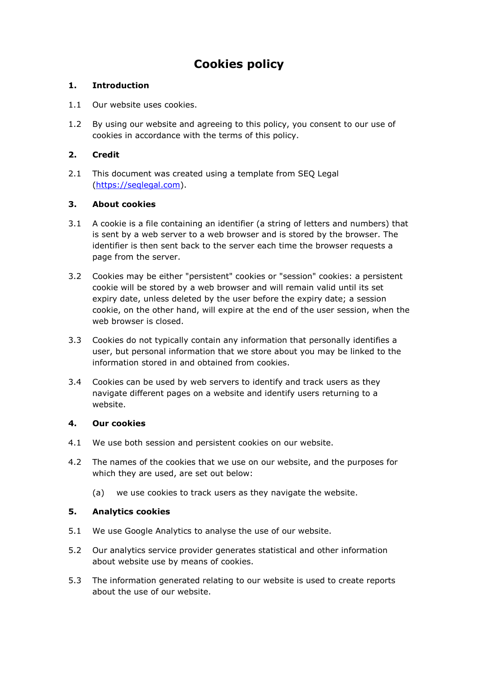# **Cookies policy**

# **1. Introduction**

- 1.1 Our website uses cookies.
- 1.2 By using our website and agreeing to this policy, you consent to our use of cookies in accordance with the terms of this policy.

# **2. Credit**

2.1 This document was created using a template from SEQ Legal [\(https://seqlegal.com\)](https://seqlegal.com/).

# **3. About cookies**

- 3.1 A cookie is a file containing an identifier (a string of letters and numbers) that is sent by a web server to a web browser and is stored by the browser. The identifier is then sent back to the server each time the browser requests a page from the server.
- 3.2 Cookies may be either "persistent" cookies or "session" cookies: a persistent cookie will be stored by a web browser and will remain valid until its set expiry date, unless deleted by the user before the expiry date; a session cookie, on the other hand, will expire at the end of the user session, when the web browser is closed.
- 3.3 Cookies do not typically contain any information that personally identifies a user, but personal information that we store about you may be linked to the information stored in and obtained from cookies.
- 3.4 Cookies can be used by web servers to identify and track users as they navigate different pages on a website and identify users returning to a website.

## **4. Our cookies**

- 4.1 We use both session and persistent cookies on our website.
- 4.2 The names of the cookies that we use on our website, and the purposes for which they are used, are set out below:
	- (a) we use cookies to track users as they navigate the website.

# **5. Analytics cookies**

- 5.1 We use Google Analytics to analyse the use of our website.
- 5.2 Our analytics service provider generates statistical and other information about website use by means of cookies.
- 5.3 The information generated relating to our website is used to create reports about the use of our website.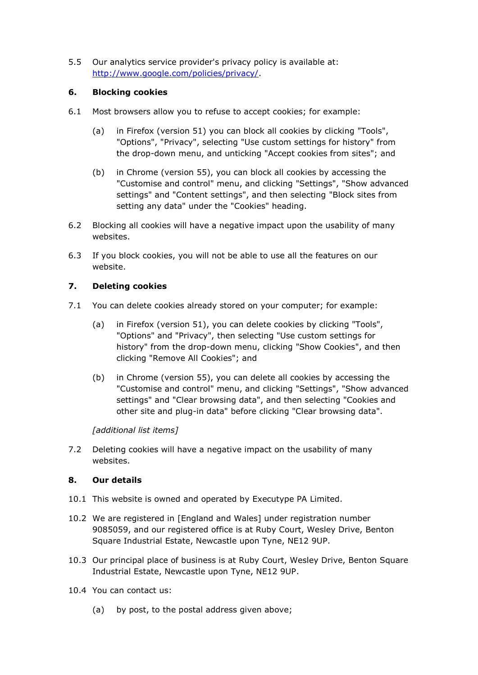5.5 Our analytics service provider's privacy policy is available at: [http://www.google.com/policies/privacy/.](http://www.google.com/policies/privacy/)

## **6. Blocking cookies**

- 6.1 Most browsers allow you to refuse to accept cookies; for example:
	- (a) in Firefox (version 51) you can block all cookies by clicking "Tools", "Options", "Privacy", selecting "Use custom settings for history" from the drop-down menu, and unticking "Accept cookies from sites"; and
	- (b) in Chrome (version 55), you can block all cookies by accessing the "Customise and control" menu, and clicking "Settings", "Show advanced settings" and "Content settings", and then selecting "Block sites from setting any data" under the "Cookies" heading.
- 6.2 Blocking all cookies will have a negative impact upon the usability of many websites.
- 6.3 If you block cookies, you will not be able to use all the features on our website.

# **7. Deleting cookies**

- 7.1 You can delete cookies already stored on your computer; for example:
	- (a) in Firefox (version 51), you can delete cookies by clicking "Tools", "Options" and "Privacy", then selecting "Use custom settings for history" from the drop-down menu, clicking "Show Cookies", and then clicking "Remove All Cookies"; and
	- (b) in Chrome (version 55), you can delete all cookies by accessing the "Customise and control" menu, and clicking "Settings", "Show advanced settings" and "Clear browsing data", and then selecting "Cookies and other site and plug-in data" before clicking "Clear browsing data".

## *[additional list items]*

7.2 Deleting cookies will have a negative impact on the usability of many websites.

## **8. Our details**

- 10.1 This website is owned and operated by Executype PA Limited.
- 10.2 We are registered in [England and Wales] under registration number 9085059, and our registered office is at Ruby Court, Wesley Drive, Benton Square Industrial Estate, Newcastle upon Tyne, NE12 9UP.
- 10.3 Our principal place of business is at Ruby Court, Wesley Drive, Benton Square Industrial Estate, Newcastle upon Tyne, NE12 9UP.
- 10.4 You can contact us:
	- (a) by post, to the postal address given above;